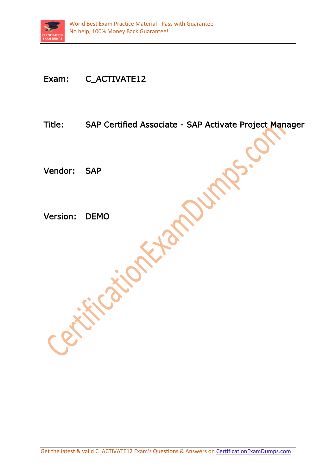

## Exam: C\_ACTIVATE12

Title: SAP Certified Associate - SAP Activate Project Manager

Vendor: SAP

Version: DEMO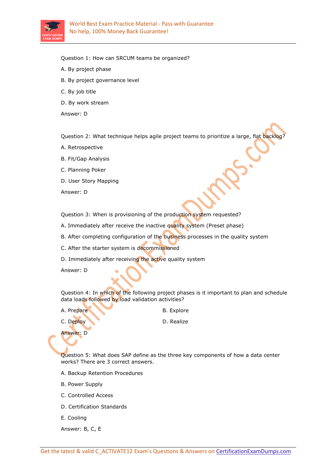

Question 1: How can SRCUM teams be organized?

- A. By project phase
- B. By project governance level
- C. By job title
- D. By work stream
- Answer: D

Question 2: What technique helps agile project teams to prioritize a large, flat backlog?

- A. Retrospective
- B. Fit/Gap Analysis
- C. Planning Poker
- D. User Story Mapping

Answer: D

Question 3: When is provisioning of the production system requested?

- A. Immediately after receive the inactive quality system (Preset phase)
- B. After completing configuration of the business processes in the quality system
- C. After the starter system is decommissioned
- D. Immediately after receiving the active quality system

Answer: D

Question 4: In which of the following project phases is it important to plan and schedule data loads followed by load validation activities?

| A. Prepare | B. Explore |
|------------|------------|
| C. Deploy  | D. Realize |

Answer: D

Question 5: What does SAP define as the three key components of how a data center works? There are 3 correct answers.

A. Backup Retention Procedures

 $\sim$  1

- B. Power Supply
- C. Controlled Access
- D. Certification Standards
- E. Cooling
- Answer: B, C, E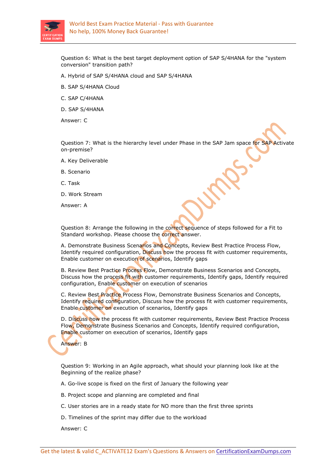

Question 6: What is the best target deployment option of SAP S/4HANA for the "system conversion" transition path?

- A. Hybrid of SAP S/4HANA cloud and SAP S/4HANA
- B. SAP S/4HANA Cloud
- C. SAP C/4HANA
- D. SAP S/4HANA

Answer: C

Question 7: What is the hierarchy level under Phase in the SAP Jam space for SAP Activate on-premise?

- A. Key Deliverable
- B. Scenario
- C. Task
- D. Work Stream
- Answer: A

Question 8: Arrange the following in the correct sequence of steps followed for a Fit to Standard workshop. Please choose the correct answer.

A. Demonstrate Business Scenarios and Concepts, Review Best Practice Process Flow, Identify required configuration, Discuss how the process fit with customer requirements, Enable customer on execution of scenarios, Identify gaps

B. Review Best Practice Process Flow, Demonstrate Business Scenarios and Concepts, Discuss how the process fit with customer requirements, Identify gaps, Identify required configuration, Enable customer on execution of scenarios

C. Review Best Practice Process Flow, Demonstrate Business Scenarios and Concepts, Identify required configuration, Discuss how the process fit with customer requirements, Enable customer on execution of scenarios, Identify gaps

D. Discuss how the process fit with customer requirements, Review Best Practice Process Flow, Demonstrate Business Scenarios and Concepts, Identify required configuration, Enable customer on execution of scenarios, Identify gaps

Answer: B

Question 9: Working in an Agile approach, what should your planning look like at the Beginning of the realize phase?

A. Go-live scope is fixed on the first of January the following year

- B. Project scope and planning are completed and final
- C. User stories are in a ready state for NO more than the first three sprints
- D. Timelines of the sprint may differ due to the workload

Answer: C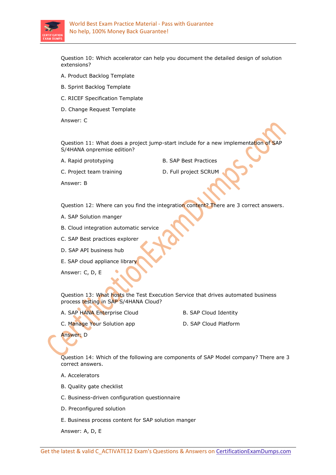

Question 10: Which accelerator can help you document the detailed design of solution extensions?

- A. Product Backlog Template
- B. Sprint Backlog Template
- C. RICEF Specification Template
- D. Change Request Template

Answer: C

Question 11: What does a project jump-start include for a new implementation of SAP S/4HANA onpremise edition?

A. Rapid prototyping B. SAP Best Practices

C. Project team training The D. Full project SCRUM

Answer: B

Question 12: Where can you find the integration content? There are 3 correct answers.

- A. SAP Solution manger
- B. Cloud integration automatic service
- C. SAP Best practices explorer
- D. SAP API business hub
- E. SAP cloud appliance library

Answer: C, D, E

Question 13: What hosts the Test Execution Service that drives automated business process testing in SAP S/4HANA Cloud?

- A. SAP HANA Enterprise Cloud B. SAP Cloud Identity
	-
- C. Manage Your Solution app D. SAP Cloud Platform
	-

Answer: D

Question 14: Which of the following are components of SAP Model company? There are 3 correct answers.

- A. Accelerators
- B. Quality gate checklist
- C. Business-driven configuration questionnaire
- D. Preconfigured solution
- E. Business process content for SAP solution manger

Answer: A, D, E